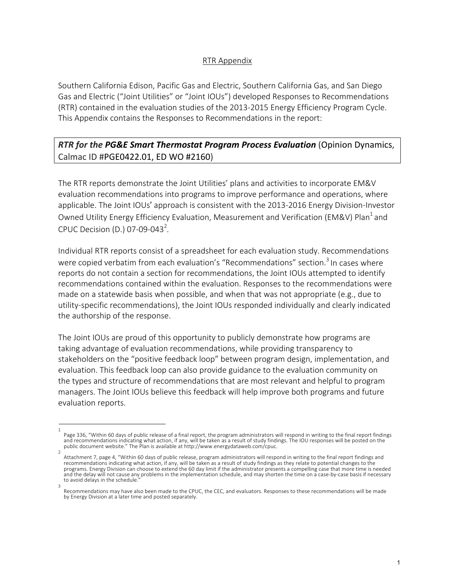## RTR Appendix

Southern California Edison, Pacific Gas and Electric, Southern California Gas, and San Diego Gas and Electric ("Joint Utilities" or "Joint IOUs") developed Responses to Recommendations (RTR) contained in the evaluation studies of the 2013-2015 Energy Efficiency Program Cycle. This Appendix contains the Responses to Recommendations in the report:

## *RTR for the PG&E Smart Thermostat Program Process Evaluation* (Opinion Dynamics, Calmac ID #PGE0422.01, ED WO #2160)

The RTR reports demonstrate the Joint Utilities' plans and activities to incorporate EM&V evaluation recommendations into programs to improve performance and operations, where applicable. The Joint IOUs' approach is consistent with the 2013-2016 Energy Division-Investor Owned Utility Energy Efficiency Evaluation, Measurement and Verification (EM&V) Plan<sup>1</sup> and CPUC Decision (D.) 07-09-043<sup>2</sup>.

Individual RTR reports consist of a spreadsheet for each evaluation study. Recommendations were copied verbatim from each evaluation's "Recommendations" section.<sup>3</sup> In cases where reports do not contain a section for recommendations, the Joint IOUs attempted to identify recommendations contained within the evaluation. Responses to the recommendations were made on a statewide basis when possible, and when that was not appropriate (e.g., due to utility-specific recommendations), the Joint IOUs responded individually and clearly indicated the authorship of the response.

The Joint IOUs are proud of this opportunity to publicly demonstrate how programs are taking advantage of evaluation recommendations, while providing transparency to stakeholders on the "positive feedback loop" between program design, implementation, and evaluation. This feedback loop can also provide guidance to the evaluation community on the types and structure of recommendations that are most relevant and helpful to program managers. The Joint IOUs believe this feedback will help improve both programs and future evaluation reports.

<sup>1</sup> Page 336, "Within 60 days of public release of a final report, the program administrators will respond in writing to the final report findings and recommendations indicating what action, if any, will be taken as a result of study findings. The IOU responses will be posted on the public document website." The Plan is available at http://www.energydataweb.com/cpuc.

<sup>2</sup> Attachment 7, page 4, "Within 60 days of public release, program administrators will respond in writing to the final report findings and recommendations indicating what action, if any, will be taken as a result of study findings as they relate to potential changes to the programs. Energy Division can choose to extend the 60 day limit if the administrator presents a compelling case that more time is needed and the delay will not cause any problems in the implementation schedule, and may shorten the time on a case-by-case basis if necessary to avoid delays in the schedule. 3

Recommendations may have also been made to the CPUC, the CEC, and evaluators. Responses to these recommendations will be made by Energy Division at a later time and posted separately.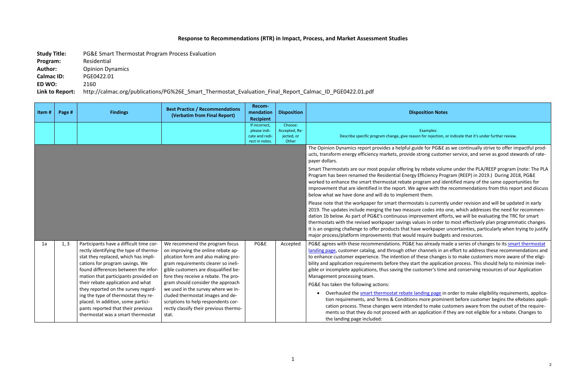les: ejection, or indicate that it's under further review.

PG&E as we continually strive to offer impactful prodcustomer service, and serve as good stewards of rate-

ate volume under the PLA/REEP program (note: The PLA Program (REEP) in 2019.) During 2018, PG&Energy Program (REEP) in 2019. and identified many of the same opportunities for with the recommendations from this report and discuss

currently under revision and will be updated in early les into one, which addresses the need for recommennent efforts, we will be evaluating the TRC for smart order to most effectively plan programmatic changes. It is apper uncertainties, particularly when trying to justify re budgets and resources.

ready made a series of changes to its **smart thermostat** hels in an effort to address these recommendations and changes is to make customers more aware of the eligiapplication process. This should help to minimize inelier's time and conserving resources of our Application

page in order to make eligibility requirements, applicaprominent before customer begins the eRebates applimake customers aware from the outset of the requirecation if they are not eligible for a rebate. Changes to

## **Response to Recommendations (RTR) in Impact, Process, and Market Assessment Studies**

**Study Title:** PG&E Smart Thermostat Program Process Evaluation Program: Residential Author: Opinion Dynamics **Calmac ID:** PGE0422.01 **ED WO:** 2160

**Link to Report:** http://calmac.org/publications/PG%26E\_Smart\_Thermostat\_Evaluation\_Final\_Report\_Calmac\_ID\_PGE0422.01.pdf

| Item# | Page # | <b>Findings</b>                                                                                                                                                                                                                                                                                                                                                                                                                                                                  | <b>Best Practice / Recommendations</b><br>(Verbatim from Final Report)                                                                                                                                                                                                                                                                                                                                                                      | Recom-<br>mendation<br><b>Recipient</b>                           | <b>Disposition</b>                              | <b>Disposition Notes</b>                                                                                                                                                                                                                                                                                                                                                                                                                                                                                                                                                                                                                                                                      |
|-------|--------|----------------------------------------------------------------------------------------------------------------------------------------------------------------------------------------------------------------------------------------------------------------------------------------------------------------------------------------------------------------------------------------------------------------------------------------------------------------------------------|---------------------------------------------------------------------------------------------------------------------------------------------------------------------------------------------------------------------------------------------------------------------------------------------------------------------------------------------------------------------------------------------------------------------------------------------|-------------------------------------------------------------------|-------------------------------------------------|-----------------------------------------------------------------------------------------------------------------------------------------------------------------------------------------------------------------------------------------------------------------------------------------------------------------------------------------------------------------------------------------------------------------------------------------------------------------------------------------------------------------------------------------------------------------------------------------------------------------------------------------------------------------------------------------------|
|       |        |                                                                                                                                                                                                                                                                                                                                                                                                                                                                                  |                                                                                                                                                                                                                                                                                                                                                                                                                                             | If incorrect,<br>please indi-<br>cate and redi-<br>rect in notes. | Choose:<br>Accepted, Re-<br>jected, or<br>Other | Examples:<br>Describe specific program change, give reason for rejection, o                                                                                                                                                                                                                                                                                                                                                                                                                                                                                                                                                                                                                   |
|       |        |                                                                                                                                                                                                                                                                                                                                                                                                                                                                                  |                                                                                                                                                                                                                                                                                                                                                                                                                                             |                                                                   |                                                 | The Opinion Dynamics report provides a helpful guide for PG&E a<br>ucts, transform energy efficiency markets, provide strong custom<br>payer dollars.                                                                                                                                                                                                                                                                                                                                                                                                                                                                                                                                         |
|       |        |                                                                                                                                                                                                                                                                                                                                                                                                                                                                                  |                                                                                                                                                                                                                                                                                                                                                                                                                                             |                                                                   |                                                 | Smart Thermostats are our most popular offering by rebate volun<br>Program has been renamed the Residential Energy Efficiency Prog<br>worked to enhance the smart thermostat rebate program and ide<br>improvement that are identified in the report. We agree with the<br>below what we have done and will do to implement them.                                                                                                                                                                                                                                                                                                                                                             |
|       |        |                                                                                                                                                                                                                                                                                                                                                                                                                                                                                  |                                                                                                                                                                                                                                                                                                                                                                                                                                             |                                                                   |                                                 | Please note that the workpaper for smart thermostats is currently<br>2019. The updates include merging the two measure codes into c<br>dation 1b below. As part of PG&E's continuous improvement effo<br>thermostats with the revised workpaper savings values in order to<br>It is an ongoing challenge to offer products that have workpaper i<br>major process/platform improvements that would require budget                                                                                                                                                                                                                                                                             |
| 1a    | 1, 3   | Participants have a difficult time cor-<br>rectly identifying the type of thermo-<br>stat they replaced, which has impli-<br>cations for program savings. We<br>found differences between the infor-<br>mation that participants provided on<br>their rebate application and what<br>they reported on the survey regard-<br>ing the type of thermostat they re-<br>placed. In addition, some partici-<br>pants reported that their previous<br>thermostat was a smart thermostat | We recommend the program focus<br>on improving the online rebate ap-<br>plication form and also making pro-<br>gram requirements clearer so ineli-<br>gible customers are disqualified be-<br>fore they receive a rebate. The pro-<br>gram should consider the approach<br>we used in the survey where we in-<br>cluded thermostat images and de-<br>scriptions to help respondents cor-<br>rectly classify their previous thermo-<br>stat. | PG&E                                                              | Accepted                                        | PG&E agrees with these recommendations. PG&E has already ma<br>landing page, customer catalog, and through other channels in ar<br>to enhance customer experience. The intention of these changes<br>bility and application requirements before they start the applicati<br>gible or incomplete applications, thus saving the customer's time<br>Management processing team.<br>PG&E has taken the following actions:<br>Overhauled the smart thermostat rebate landing page in<br>tion requirements, and Terms & Conditions more promine<br>cation process. These changes were intended to make cu<br>ments so that they do not proceed with an application if<br>the landing page included: |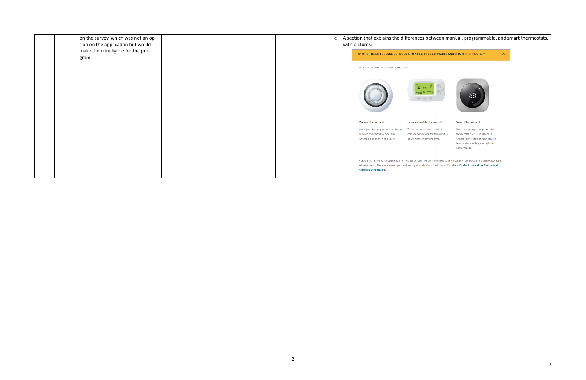|  | on the survey, which was not an op-<br>tion on the application but would |  | $\circ$ | A section that explains the differences be<br>with pictures:        |                                                 |
|--|--------------------------------------------------------------------------|--|---------|---------------------------------------------------------------------|-------------------------------------------------|
|  | make them ineligible for the pro-                                        |  |         | <b>WHAT'S THE DIFFERENCE BETWEEN A MANUAL, PROG</b>                 |                                                 |
|  | gram.                                                                    |  |         | There are three main types of thermostats:                          |                                                 |
|  |                                                                          |  |         |                                                                     | ث <sub>530</sub> – ح<br>$\circ$ $\circ$ $\circ$ |
|  |                                                                          |  |         | <b>Manual thermostat</b>                                            | Programmable th                                 |
|  |                                                                          |  |         | You adjust the temperature setting up                               | This thermostat use                             |
|  |                                                                          |  |         | or down as desired by manually<br>turning a dial or moving a lever. | calendar and clock f<br>adjustment by day a     |
|  |                                                                          |  |         |                                                                     |                                                 |
|  |                                                                          |  |         | PLEASE NOTE: Manually operated thermostats contain mercu            |                                                 |
|  |                                                                          |  |         | safe and free collection site near you, and see if you qualify for  |                                                 |
|  |                                                                          |  |         | <b>Recycling Corporation.</b>                                       |                                                 |
|  |                                                                          |  |         |                                                                     |                                                 |

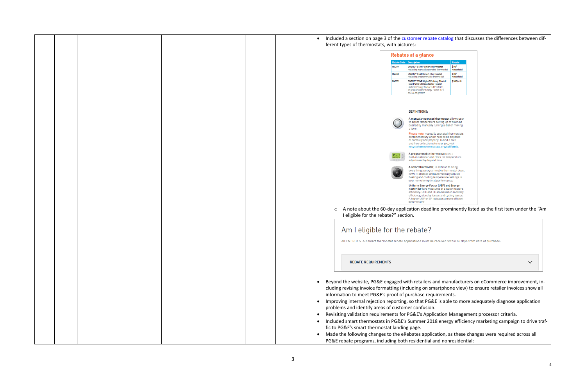|                    | Rebates at a glance                                                                                                                                                                                                                                        |                    |
|--------------------|------------------------------------------------------------------------------------------------------------------------------------------------------------------------------------------------------------------------------------------------------------|--------------------|
| <b>Rebate Code</b> | <b>Description</b>                                                                                                                                                                                                                                         | <b>Rebate</b>      |
| <b>HV359</b>       | <b>ENERGY STAR® Smart Thermostat</b><br>replacing manually operated thermostat                                                                                                                                                                             | \$50/<br>household |
| HV360              | <b>ENERGY STAR Smart Thermostat</b><br>replacing programmable thermostat                                                                                                                                                                                   | \$50/<br>household |
| <b>BW031</b>       | <b>ENERGY STAR High-Efficiency Electric</b><br>Heat Pump Storage Water Heater<br>Uniform Energy Factor (UEF) of 3.11<br>or greater and/or Energy Factor (EF)<br>of 3.24 or greater                                                                         | \$300/unit         |
|                    | <b>DEFINITIONS:</b>                                                                                                                                                                                                                                        |                    |
|                    | A manually operated thermostat allows user<br>to adjust temperature setting up or down as<br>desired by manually turning a dial or moving<br>a lever.                                                                                                      |                    |
|                    | Please note: manually operated thermostats<br>contain mercury which need to be disposed<br>of carefully and properly. To find a safe<br>and free collection site near you, visit<br>recyclehomethermostats.org/california.                                 |                    |
|                    | A programmable thermostat uses a<br>built- in calendar and clock for temperature<br>adjustment by day and time.                                                                                                                                            |                    |
|                    | A smart thermostat, in addition to doing<br>everything a programmable thermostat does,<br>is Wi-Fi enabled and automatically adjusts<br>heating and cooling temperature settings in<br>your home for optimal performance.                                  |                    |
|                    | Uniform Energy Factor (UEF) and Energy<br>Factor (EF) are measures of a water heater's<br>efficiency. UEF and EF are based on recovery<br>efficiency, standby losses and cycling losses.<br>A higher UEF or EF indicates a more efficient<br>water heater. |                    |
|                    | A note about the 60-day application deadline prominently listed as the first item under the "Am                                                                                                                                                            |                    |

- <sup>3</sup> and manufacturers on eCommerce improvement, insmartphone view) to ensure retailer invoices show all equirements.
- $58E$  is able to more adequately diagnose application
- plication Management processor criteria.
- 018 energy efficiency marketing campaign to drive traf-

|  | Included a section on page 3 of the customer rebate catalog that discusses the differences between dif-<br>$\bullet$                                                                                                                                                            |
|--|---------------------------------------------------------------------------------------------------------------------------------------------------------------------------------------------------------------------------------------------------------------------------------|
|  | ferent types of thermostats, with pictures:                                                                                                                                                                                                                                     |
|  | Rebates at a glance                                                                                                                                                                                                                                                             |
|  | <b>Rebate Code   Description</b><br>Rebate<br><b>ENERGY STAR® Smart Thermostat</b><br>\$50/<br><b>HV359</b><br>replacing manually operated thermost<br>household                                                                                                                |
|  | HV360<br><b>ENERGY STAR Smart Thermostat</b><br>\$50/<br>replacing programmable thermostat<br>household                                                                                                                                                                         |
|  | <b>BW031</b><br><b>ENERGY STAR High-Efficiency Electric</b><br>\$300/unit<br>Heat Pump Storage Water Heater<br>Uniform Energy Factor (UEF) of 3.11<br>or greater and/or Energy Factor (EF)<br>of 3.24 or greater                                                                |
|  | <b>DEFINITIONS:</b>                                                                                                                                                                                                                                                             |
|  | A manually operated thermostat allows user<br>to adjust temperature setting up or down as<br>desired by manually turning a dial or moving<br>a lever.                                                                                                                           |
|  | Please note: manually operated thermostats<br>contain mercury which need to be disposed<br>of carefully and properly. To find a safe<br>and free collection site near you, visit<br>recyclehomethermostats.org/california.                                                      |
|  | A programmable thermostat uses a<br>built- in calendar and clock for temperature<br>0.0.0<br>adjustment by day and time.                                                                                                                                                        |
|  | A smart thermostat, in addition to doing<br>everything a programmable thermostat does,<br>is Wi-Fi enabled and automatically adjusts<br>heating and cooling temperature settings in                                                                                             |
|  | your home for optimal performance.<br>Uniform Energy Factor (UEF) and Energy<br>Factor (EF) are measures of a water heater's<br>efficiency. UEF and EF are based on recovery<br>efficiency, standby losses and cycling losses.<br>A higher UEF or EF indicates a more efficient |
|  | water heater.<br>o A note about the 60-day application deadline prominently listed as the first item under the "Am<br>I eligible for the rebate?" section.                                                                                                                      |
|  | Am I eligible for the rebate?                                                                                                                                                                                                                                                   |
|  | All ENERGY STAR smart thermostat rebate applications must be received within 60 days from date of purchase.                                                                                                                                                                     |
|  |                                                                                                                                                                                                                                                                                 |
|  | <b>REBATE REQUIREMENTS</b><br>$\checkmark$                                                                                                                                                                                                                                      |
|  |                                                                                                                                                                                                                                                                                 |
|  | Beyond the website, PG&E engaged with retailers and manufacturers on eCommerce improvement, in-<br>cluding revising invoice formatting (including on smartphone view) to ensure retailer invoices show all                                                                      |
|  | information to meet PG&E's proof of purchase requirements.<br>Improving internal rejection reporting, so that PG&E is able to more adequately diagnose application                                                                                                              |
|  | problems and identify areas of customer confusion.                                                                                                                                                                                                                              |
|  | Revisiting validation requirements for PG&E's Application Management processor criteria.<br>$\bullet$                                                                                                                                                                           |
|  | Included smart thermostats in PG&E's Summer 2018 energy efficiency marketing campaign to drive traf<br>$\bullet$<br>fic to PG&E's smart thermostat landing page.                                                                                                                |
|  | Made the following changes to the eRebates application, as these changes were required across all<br>$\bullet$                                                                                                                                                                  |
|  | PG&E rebate programs, including both residential and nonresidential:                                                                                                                                                                                                            |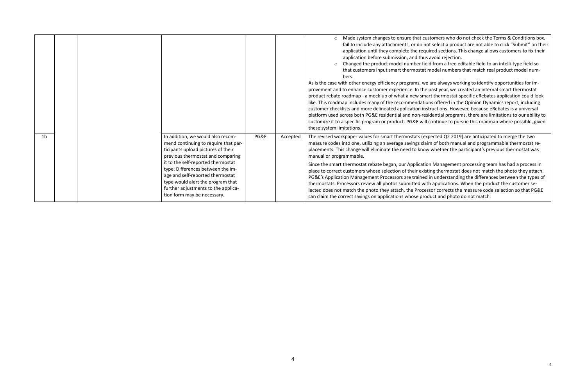stomers who do not check the Terms & Conditions box, t select a product are not able to click "Submit" on their ired sections. This change allows customers to fix their avoid rejection.

d from a free editable field to an intelli-type field so nodel numbers that match real product model num-

are always working to identify opportunities for impast year, we created an internal smart thermostat rt thermostat-specific eRebates application could look ns offered in the Opinion Dynamics report, including custions. However, because eRebates is a universal idential programs, there are limitations to our ability to continue to pursue this roadmap where possible, given

pected Q2 2019) are anticipated to merge the two m of both manual and programmable thermostat rewhether the participant's previous thermostat was

n Management processing team has had a process in ing thermostat does not match the photo they attach. in understanding the differences between the types of h applications. When the product the customer sesor corrects the measure code selection so that PG&E luct and photo do not match.

|                |  |                                                                                                                                                                                                                                                                                                                                                                                |      |          | Made system changes to ensure that cust<br>fail to include any attachments, or do not<br>application until they complete the requi<br>application before submission, and thus a<br>Changed the product model number field<br>$\circ$<br>that customers input smart thermostat m<br>bers.<br>As is the case with other energy efficiency programs, we a<br>provement and to enhance customer experience. In the p<br>product rebate roadmap - a mock-up of what a new smar<br>like. This roadmap includes many of the recommendation<br>customer checklists and more delineated application inst<br>platform used across both PG&E residential and non-resid<br>customize it to a specific program or product. PG&E will c<br>these system limitations. |
|----------------|--|--------------------------------------------------------------------------------------------------------------------------------------------------------------------------------------------------------------------------------------------------------------------------------------------------------------------------------------------------------------------------------|------|----------|--------------------------------------------------------------------------------------------------------------------------------------------------------------------------------------------------------------------------------------------------------------------------------------------------------------------------------------------------------------------------------------------------------------------------------------------------------------------------------------------------------------------------------------------------------------------------------------------------------------------------------------------------------------------------------------------------------------------------------------------------------|
| 1 <sub>b</sub> |  | In addition, we would also recom-<br>mend continuing to require that par-<br>ticipants upload pictures of their<br>previous thermostat and comparing<br>it to the self-reported thermostat<br>type. Differences between the im-<br>age and self-reported thermostat<br>type would alert the program that<br>further adjustments to the applica-<br>tion form may be necessary. | PG&E | Accepted | The revised workpaper values for smart thermostats (exp<br>measure codes into one, utilizing an average savings clain<br>placements. This change will eliminate the need to know<br>manual or programmable.<br>Since the smart thermostat rebate began, our Applicatior<br>place to correct customers whose selection of their existi<br>PG&E's Application Management Processors are trained i<br>thermostats. Processors review all photos submitted with<br>lected does not match the photo they attach, the Process<br>can claim the correct savings on applications whose prod                                                                                                                                                                    |